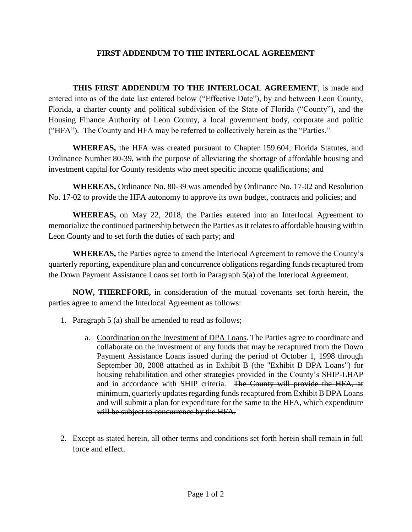## **FIRST ADDENDUM TO THE INTERLOCAL AGREEMENT**

**THIS FIRST ADDENDUM TO THE INTERLOCAL AGREEMENT**, is made and entered into as of the date last entered below ("Effective Date"), by and between Leon County, Florida, a charter county and political subdivision of the State of Florida ("County"), and the Housing Finance Authority of Leon County, a local government body, corporate and politic ("HFA"). The County and HFA may be referred to collectively herein as the "Parties."

**WHEREAS,** the HFA was created pursuant to Chapter 159.604, Florida Statutes, and Ordinance Number 80-39, with the purpose of alleviating the shortage of affordable housing and investment capital for County residents who meet specific income qualifications; and

**WHEREAS,** Ordinance No. 80-39 was amended by Ordinance No. 17-02 and Resolution No. 17-02 to provide the HFA autonomy to approve its own budget, contracts and policies; and

**WHEREAS,** on May 22, 2018, the Parties entered into an Interlocal Agreement to memorialize the continued partnership between the Parties as it relates to affordable housing within Leon County and to set forth the duties of each party; and

**WHEREAS,** the Parties agree to amend the Interlocal Agreement to remove the County's quarterly reporting, expenditure plan and concurrence obligations regarding funds recaptured from the Down Payment Assistance Loans set forth in Paragraph 5(a) of the Interlocal Agreement.

**NOW, THEREFORE,** in consideration of the mutual covenants set forth herein, the parties agree to amend the Interlocal Agreement as follows:

- 1. Paragraph 5 (a) shall be amended to read as follows;
	- a. Coordination on the Investment of DPA Loans. The Parties agree to coordinate and collaborate on the investment of any funds that may be recaptured from the Down Payment Assistance Loans issued during the period of October 1, 1998 through September 30, 2008 attached as in Exhibit B (the "Exhibit B DPA Loans") for housing rehabilitation and other strategies provided in the County's SHIP-LHAP and in accordance with SHIP criteria. The County will provide the HFA, at minimum, quarterly updates regarding funds recaptured from Exhibit B DPA Loans and will submit a plan for expenditure for the same to the HFA, which expenditure will be subject to concurrence by the HFA.
- 2. Except as stated herein, all other terms and conditions set forth herein shall remain in full force and effect.